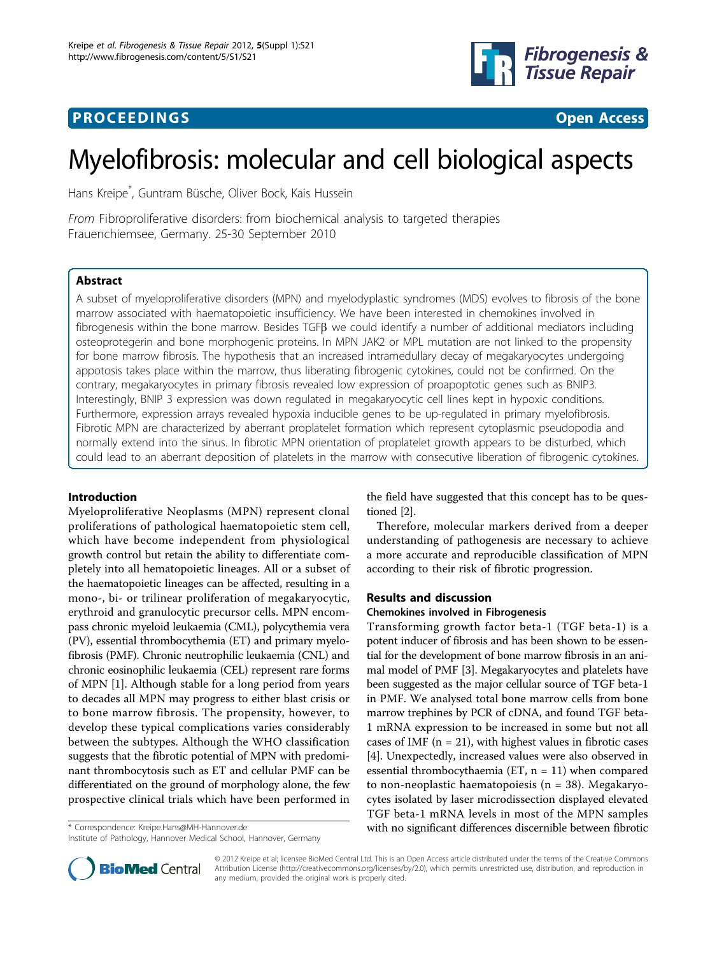



# Myelofibrosis: molecular and cell biological aspects

Hans Kreipe\* , Guntram Büsche, Oliver Bock, Kais Hussein

From Fibroproliferative disorders: from biochemical analysis to targeted therapies Frauenchiemsee, Germany. 25-30 September 2010

# Abstract

A subset of myeloproliferative disorders (MPN) and myelodyplastic syndromes (MDS) evolves to fibrosis of the bone marrow associated with haematopoietic insufficiency. We have been interested in chemokines involved in fibrogenesis within the bone marrow. Besides TGF $\beta$  we could identify a number of additional mediators including osteoprotegerin and bone morphogenic proteins. In MPN JAK2 or MPL mutation are not linked to the propensity for bone marrow fibrosis. The hypothesis that an increased intramedullary decay of megakaryocytes undergoing appotosis takes place within the marrow, thus liberating fibrogenic cytokines, could not be confirmed. On the contrary, megakaryocytes in primary fibrosis revealed low expression of proapoptotic genes such as BNIP3. Interestingly, BNIP 3 expression was down regulated in megakaryocytic cell lines kept in hypoxic conditions. Furthermore, expression arrays revealed hypoxia inducible genes to be up-regulated in primary myelofibrosis. Fibrotic MPN are characterized by aberrant proplatelet formation which represent cytoplasmic pseudopodia and normally extend into the sinus. In fibrotic MPN orientation of proplatelet growth appears to be disturbed, which could lead to an aberrant deposition of platelets in the marrow with consecutive liberation of fibrogenic cytokines.

# Introduction

Myeloproliferative Neoplasms (MPN) represent clonal proliferations of pathological haematopoietic stem cell, which have become independent from physiological growth control but retain the ability to differentiate completely into all hematopoietic lineages. All or a subset of the haematopoietic lineages can be affected, resulting in a mono-, bi- or trilinear proliferation of megakaryocytic, erythroid and granulocytic precursor cells. MPN encompass chronic myeloid leukaemia (CML), polycythemia vera (PV), essential thrombocythemia (ET) and primary myelofibrosis (PMF). Chronic neutrophilic leukaemia (CNL) and chronic eosinophilic leukaemia (CEL) represent rare forms of MPN [[1](#page-4-0)]. Although stable for a long period from years to decades all MPN may progress to either blast crisis or to bone marrow fibrosis. The propensity, however, to develop these typical complications varies considerably between the subtypes. Although the WHO classification suggests that the fibrotic potential of MPN with predominant thrombocytosis such as ET and cellular PMF can be differentiated on the ground of morphology alone, the few prospective clinical trials which have been performed in

the field have suggested that this concept has to be questioned [[2](#page-4-0)].

Therefore, molecular markers derived from a deeper understanding of pathogenesis are necessary to achieve a more accurate and reproducible classification of MPN according to their risk of fibrotic progression.

# Results and discussion

### Chemokines involved in Fibrogenesis

Transforming growth factor beta-1 (TGF beta-1) is a potent inducer of fibrosis and has been shown to be essential for the development of bone marrow fibrosis in an animal model of PMF [[3](#page-4-0)]. Megakaryocytes and platelets have been suggested as the major cellular source of TGF beta-1 in PMF. We analysed total bone marrow cells from bone marrow trephines by PCR of cDNA, and found TGF beta-1 mRNA expression to be increased in some but not all cases of IMF  $(n = 21)$ , with highest values in fibrotic cases [[4\]](#page-4-0). Unexpectedly, increased values were also observed in essential thrombocythaemia (ET,  $n = 11$ ) when compared to non-neoplastic haematopoiesis (n = 38). Megakaryocytes isolated by laser microdissection displayed elevated TGF beta-1 mRNA levels in most of the MPN samples \* Correspondence: [Kreipe.Hans@MH-Hannover.de](mailto:Kreipe.Hans@MH-Hannover.de) with no significant differences discernible between fibrotic Institute of Pathology, Hannover Medical School, Hannover, Germany



© 2012 Kreipe et al; licensee BioMed Central Ltd. This is an Open Access article distributed under the terms of the Creative Commons Attribution License [\(http://creativecommons.org/licenses/by/2.0](http://creativecommons.org/licenses/by/2.0)), which permits unrestricted use, distribution, and reproduction in any medium, provided the original work is properly cited.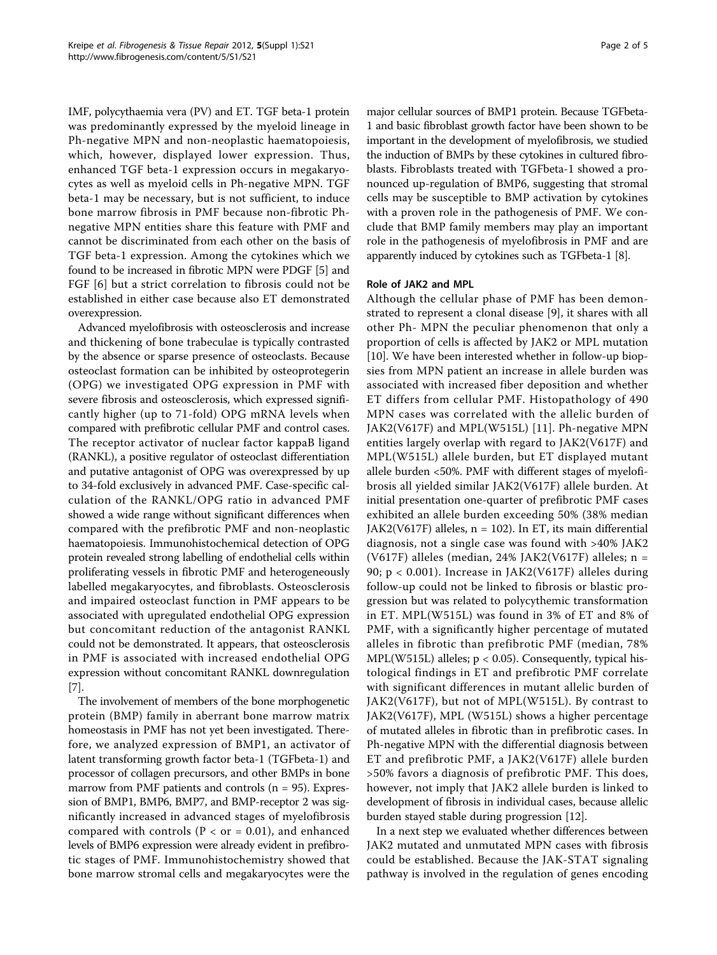IMF, polycythaemia vera (PV) and ET. TGF beta-1 protein was predominantly expressed by the myeloid lineage in Ph-negative MPN and non-neoplastic haematopoiesis, which, however, displayed lower expression. Thus, enhanced TGF beta-1 expression occurs in megakaryocytes as well as myeloid cells in Ph-negative MPN. TGF beta-1 may be necessary, but is not sufficient, to induce bone marrow fibrosis in PMF because non-fibrotic Phnegative MPN entities share this feature with PMF and cannot be discriminated from each other on the basis of TGF beta-1 expression. Among the cytokines which we found to be increased in fibrotic MPN were PDGF [\[5\]](#page-4-0) and FGF [[6](#page-4-0)] but a strict correlation to fibrosis could not be established in either case because also ET demonstrated overexpression.

Advanced myelofibrosis with osteosclerosis and increase and thickening of bone trabeculae is typically contrasted by the absence or sparse presence of osteoclasts. Because osteoclast formation can be inhibited by osteoprotegerin (OPG) we investigated OPG expression in PMF with severe fibrosis and osteosclerosis, which expressed significantly higher (up to 71-fold) OPG mRNA levels when compared with prefibrotic cellular PMF and control cases. The receptor activator of nuclear factor kappaB ligand (RANKL), a positive regulator of osteoclast differentiation and putative antagonist of OPG was overexpressed by up to 34-fold exclusively in advanced PMF. Case-specific calculation of the RANKL/OPG ratio in advanced PMF showed a wide range without significant differences when compared with the prefibrotic PMF and non-neoplastic haematopoiesis. Immunohistochemical detection of OPG protein revealed strong labelling of endothelial cells within proliferating vessels in fibrotic PMF and heterogeneously labelled megakaryocytes, and fibroblasts. Osteosclerosis and impaired osteoclast function in PMF appears to be associated with upregulated endothelial OPG expression but concomitant reduction of the antagonist RANKL could not be demonstrated. It appears, that osteosclerosis in PMF is associated with increased endothelial OPG expression without concomitant RANKL downregulation [[7\]](#page-4-0).

The involvement of members of the bone morphogenetic protein (BMP) family in aberrant bone marrow matrix homeostasis in PMF has not yet been investigated. Therefore, we analyzed expression of BMP1, an activator of latent transforming growth factor beta-1 (TGFbeta-1) and processor of collagen precursors, and other BMPs in bone marrow from PMF patients and controls  $(n = 95)$ . Expression of BMP1, BMP6, BMP7, and BMP-receptor 2 was significantly increased in advanced stages of myelofibrosis compared with controls ( $P < or = 0.01$ ), and enhanced levels of BMP6 expression were already evident in prefibrotic stages of PMF. Immunohistochemistry showed that bone marrow stromal cells and megakaryocytes were the

major cellular sources of BMP1 protein. Because TGFbeta-1 and basic fibroblast growth factor have been shown to be important in the development of myelofibrosis, we studied the induction of BMPs by these cytokines in cultured fibroblasts. Fibroblasts treated with TGFbeta-1 showed a pronounced up-regulation of BMP6, suggesting that stromal cells may be susceptible to BMP activation by cytokines with a proven role in the pathogenesis of PMF. We conclude that BMP family members may play an important role in the pathogenesis of myelofibrosis in PMF and are apparently induced by cytokines such as TGFbeta-1 [\[8\]](#page-4-0).

## Role of JAK2 and MPL

Although the cellular phase of PMF has been demonstrated to represent a clonal disease [[9\]](#page-4-0), it shares with all other Ph- MPN the peculiar phenomenon that only a proportion of cells is affected by JAK2 or MPL mutation [[10\]](#page-4-0). We have been interested whether in follow-up biopsies from MPN patient an increase in allele burden was associated with increased fiber deposition and whether ET differs from cellular PMF. Histopathology of 490 MPN cases was correlated with the allelic burden of JAK2(V617F) and MPL(W515L) [[11\]](#page-4-0). Ph-negative MPN entities largely overlap with regard to JAK2(V617F) and MPL(W515L) allele burden, but ET displayed mutant allele burden <50%. PMF with different stages of myelofibrosis all yielded similar JAK2(V617F) allele burden. At initial presentation one-quarter of prefibrotic PMF cases exhibited an allele burden exceeding 50% (38% median JAK2(V617F) alleles,  $n = 102$ ). In ET, its main differential diagnosis, not a single case was found with >40% JAK2 (V617F) alleles (median, 24% JAK2(V617F) alleles;  $n =$ 90; p < 0.001). Increase in JAK2(V617F) alleles during follow-up could not be linked to fibrosis or blastic progression but was related to polycythemic transformation in ET. MPL(W515L) was found in 3% of ET and 8% of PMF, with a significantly higher percentage of mutated alleles in fibrotic than prefibrotic PMF (median, 78% MPL(W515L) alleles; p < 0.05). Consequently, typical histological findings in ET and prefibrotic PMF correlate with significant differences in mutant allelic burden of JAK2(V617F), but not of MPL(W515L). By contrast to JAK2(V617F), MPL (W515L) shows a higher percentage of mutated alleles in fibrotic than in prefibrotic cases. In Ph-negative MPN with the differential diagnosis between ET and prefibrotic PMF, a JAK2(V617F) allele burden >50% favors a diagnosis of prefibrotic PMF. This does, however, not imply that JAK2 allele burden is linked to development of fibrosis in individual cases, because allelic burden stayed stable during progression [[12\]](#page-4-0).

In a next step we evaluated whether differences between JAK2 mutated and unmutated MPN cases with fibrosis could be established. Because the JAK-STAT signaling pathway is involved in the regulation of genes encoding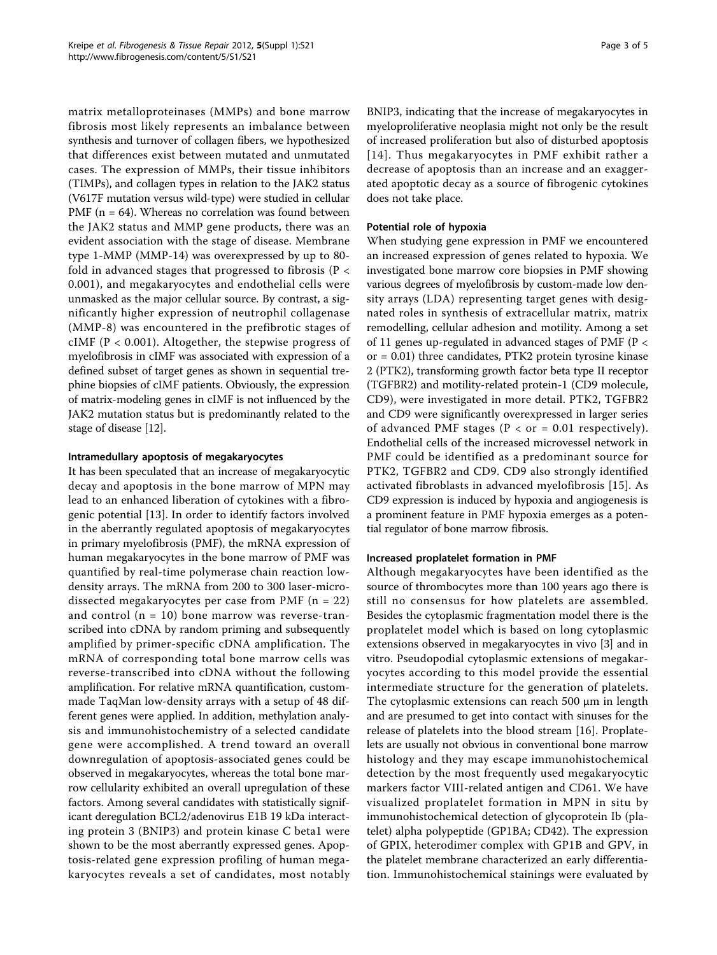matrix metalloproteinases (MMPs) and bone marrow fibrosis most likely represents an imbalance between synthesis and turnover of collagen fibers, we hypothesized that differences exist between mutated and unmutated cases. The expression of MMPs, their tissue inhibitors (TIMPs), and collagen types in relation to the JAK2 status (V617F mutation versus wild-type) were studied in cellular PMF ( $n = 64$ ). Whereas no correlation was found between the JAK2 status and MMP gene products, there was an evident association with the stage of disease. Membrane type 1-MMP (MMP-14) was overexpressed by up to 80 fold in advanced stages that progressed to fibrosis (P < 0.001), and megakaryocytes and endothelial cells were unmasked as the major cellular source. By contrast, a significantly higher expression of neutrophil collagenase (MMP-8) was encountered in the prefibrotic stages of cIMF ( $P < 0.001$ ). Altogether, the stepwise progress of myelofibrosis in cIMF was associated with expression of a defined subset of target genes as shown in sequential trephine biopsies of cIMF patients. Obviously, the expression of matrix-modeling genes in cIMF is not influenced by the JAK2 mutation status but is predominantly related to the stage of disease [\[12\]](#page-4-0).

## Intramedullary apoptosis of megakaryocytes

It has been speculated that an increase of megakaryocytic decay and apoptosis in the bone marrow of MPN may lead to an enhanced liberation of cytokines with a fibrogenic potential [\[13](#page-4-0)]. In order to identify factors involved in the aberrantly regulated apoptosis of megakaryocytes in primary myelofibrosis (PMF), the mRNA expression of human megakaryocytes in the bone marrow of PMF was quantified by real-time polymerase chain reaction lowdensity arrays. The mRNA from 200 to 300 laser-microdissected megakaryocytes per case from PMF  $(n = 22)$ and control  $(n = 10)$  bone marrow was reverse-transcribed into cDNA by random priming and subsequently amplified by primer-specific cDNA amplification. The mRNA of corresponding total bone marrow cells was reverse-transcribed into cDNA without the following amplification. For relative mRNA quantification, custommade TaqMan low-density arrays with a setup of 48 different genes were applied. In addition, methylation analysis and immunohistochemistry of a selected candidate gene were accomplished. A trend toward an overall downregulation of apoptosis-associated genes could be observed in megakaryocytes, whereas the total bone marrow cellularity exhibited an overall upregulation of these factors. Among several candidates with statistically significant deregulation BCL2/adenovirus E1B 19 kDa interacting protein 3 (BNIP3) and protein kinase C beta1 were shown to be the most aberrantly expressed genes. Apoptosis-related gene expression profiling of human megakaryocytes reveals a set of candidates, most notably BNIP3, indicating that the increase of megakaryocytes in myeloproliferative neoplasia might not only be the result of increased proliferation but also of disturbed apoptosis [[14](#page-4-0)]. Thus megakaryocytes in PMF exhibit rather a decrease of apoptosis than an increase and an exaggerated apoptotic decay as a source of fibrogenic cytokines does not take place.

# Potential role of hypoxia

When studying gene expression in PMF we encountered an increased expression of genes related to hypoxia. We investigated bone marrow core biopsies in PMF showing various degrees of myelofibrosis by custom-made low density arrays (LDA) representing target genes with designated roles in synthesis of extracellular matrix, matrix remodelling, cellular adhesion and motility. Among a set of 11 genes up-regulated in advanced stages of PMF (P < or = 0.01) three candidates, PTK2 protein tyrosine kinase 2 (PTK2), transforming growth factor beta type II receptor (TGFBR2) and motility-related protein-1 (CD9 molecule, CD9), were investigated in more detail. PTK2, TGFBR2 and CD9 were significantly overexpressed in larger series of advanced PMF stages ( $P < or = 0.01$  respectively). Endothelial cells of the increased microvessel network in PMF could be identified as a predominant source for PTK2, TGFBR2 and CD9. CD9 also strongly identified activated fibroblasts in advanced myelofibrosis [[15](#page-4-0)]. As CD9 expression is induced by hypoxia and angiogenesis is a prominent feature in PMF hypoxia emerges as a potential regulator of bone marrow fibrosis.

## Increased proplatelet formation in PMF

Although megakaryocytes have been identified as the source of thrombocytes more than 100 years ago there is still no consensus for how platelets are assembled. Besides the cytoplasmic fragmentation model there is the proplatelet model which is based on long cytoplasmic extensions observed in megakaryocytes in vivo [[3\]](#page-4-0) and in vitro. Pseudopodial cytoplasmic extensions of megakaryocytes according to this model provide the essential intermediate structure for the generation of platelets. The cytoplasmic extensions can reach 500 μm in length and are presumed to get into contact with sinuses for the release of platelets into the blood stream [[16\]](#page-4-0). Proplatelets are usually not obvious in conventional bone marrow histology and they may escape immunohistochemical detection by the most frequently used megakaryocytic markers factor VIII-related antigen and CD61. We have visualized proplatelet formation in MPN in situ by immunohistochemical detection of glycoprotein Ib (platelet) alpha polypeptide (GP1BA; CD42). The expression of GPIX, heterodimer complex with GP1B and GPV, in the platelet membrane characterized an early differentiation. Immunohistochemical stainings were evaluated by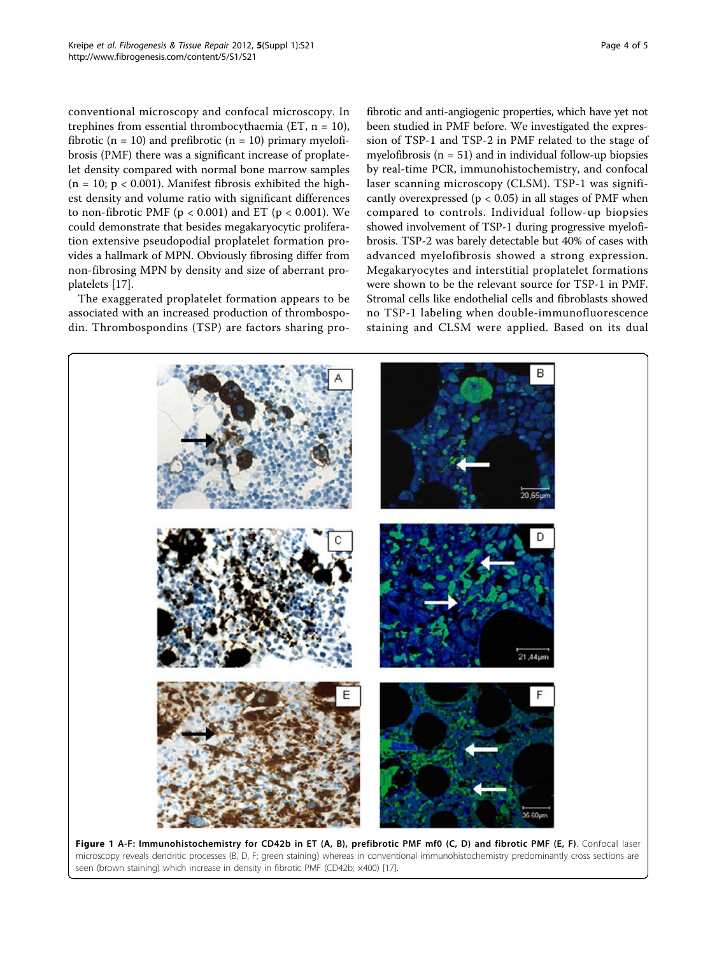conventional microscopy and confocal microscopy. In trephines from essential thrombocythaemia (ET,  $n = 10$ ), fibrotic ( $n = 10$ ) and prefibrotic ( $n = 10$ ) primary myelofibrosis (PMF) there was a significant increase of proplatelet density compared with normal bone marrow samples  $(n = 10; p < 0.001)$ . Manifest fibrosis exhibited the highest density and volume ratio with significant differences to non-fibrotic PMF ( $p < 0.001$ ) and ET ( $p < 0.001$ ). We could demonstrate that besides megakaryocytic proliferation extensive pseudopodial proplatelet formation provides a hallmark of MPN. Obviously fibrosing differ from non-fibrosing MPN by density and size of aberrant proplatelets [\[17\]](#page-4-0).

The exaggerated proplatelet formation appears to be associated with an increased production of thrombospodin. Thrombospondins (TSP) are factors sharing pro-

fibrotic and anti-angiogenic properties, which have yet not been studied in PMF before. We investigated the expression of TSP-1 and TSP-2 in PMF related to the stage of myelofibrosis ( $n = 51$ ) and in individual follow-up biopsies by real-time PCR, immunohistochemistry, and confocal laser scanning microscopy (CLSM). TSP-1 was significantly overexpressed ( $p < 0.05$ ) in all stages of PMF when compared to controls. Individual follow-up biopsies showed involvement of TSP-1 during progressive myelofibrosis. TSP-2 was barely detectable but 40% of cases with advanced myelofibrosis showed a strong expression. Megakaryocytes and interstitial proplatelet formations were shown to be the relevant source for TSP-1 in PMF. Stromal cells like endothelial cells and fibroblasts showed no TSP-1 labeling when double-immunofluorescence staining and CLSM were applied. Based on its dual

Figure 1 A-F: Immunohistochemistry for CD42b in ET (A, B), prefibrotic PMF mf0 (C, D) and fibrotic PMF (E, F). Confocal laser microscopy reveals dendritic processes (B, D, F; green staining) whereas in conventional immunohistochemistry predominantly cross sections are seen (brown staining) which increase in density in fibrotic PMF (CD42b; ×400) [[17\]](#page-4-0).